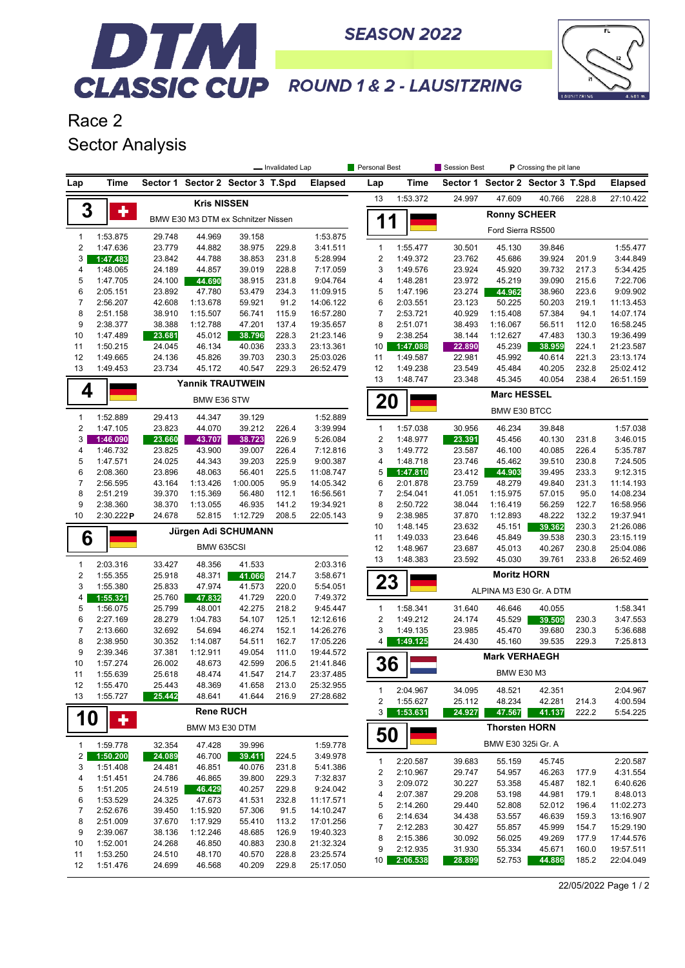

## DTM. **CLASSIC CUP** ROUND 1& 2 - LAUSITZRING

**SEASON 2022** 

Race 2 Sector Analysis

|                                |                      | - Invalidated Lap |                         |                                    |                |                        | Personal Best             |                      | Session Best         | P Crossing the pit lane |                         |                |                      |  |
|--------------------------------|----------------------|-------------------|-------------------------|------------------------------------|----------------|------------------------|---------------------------|----------------------|----------------------|-------------------------|-------------------------|----------------|----------------------|--|
| Lap                            | Time                 |                   |                         | Sector 1 Sector 2 Sector 3 T.Spd   |                | <b>Elapsed</b>         | Lap                       | Time                 | Sector 1             |                         | Sector 2 Sector 3 T.Spd |                | <b>Elapsed</b>       |  |
|                                |                      |                   | <b>Kris NISSEN</b>      |                                    |                |                        | 13                        | 1:53.372             | 24.997               | 47.609                  | 40.766                  | 228.8          | 27:10.422            |  |
| 3                              | ٠                    |                   |                         |                                    |                |                        |                           |                      |                      | <b>Ronny SCHEER</b>     |                         |                |                      |  |
|                                |                      |                   |                         | BMW E30 M3 DTM ex Schnitzer Nissen |                |                        | 1                         | 1                    |                      | Ford Sierra RS500       |                         |                |                      |  |
| $\mathbf{1}$                   | 1:53.875             | 29.748            | 44.969                  | 39.158                             |                | 1:53.875               |                           |                      |                      |                         |                         |                |                      |  |
| $\overline{2}$<br>3            | 1:47.636             | 23.779            | 44.882                  | 38.975                             | 229.8          | 3:41.511               | 1<br>2                    | 1:55.477             | 30.501               | 45.130                  | 39.846                  |                | 1:55.477             |  |
| 4                              | 1:47.483<br>1:48.065 | 23.842<br>24.189  | 44.788<br>44.857        | 38.853<br>39.019                   | 231.8<br>228.8 | 5:28.994<br>7:17.059   | 3                         | 1:49.372<br>1:49.576 | 23.762<br>23.924     | 45.686<br>45.920        | 39.924<br>39.732        | 201.9<br>217.3 | 3:44.849<br>5:34.425 |  |
| 5                              | 1:47.705             | 24.100            | 44.690                  | 38.915                             | 231.8          | 9:04.764               | 4                         | 1:48.281             | 23.972               | 45.219                  | 39.090                  | 215.6          | 7:22.706             |  |
| 6                              | 2:05.151             | 23.892            | 47.780                  | 53.479                             | 234.3          | 11:09.915              | 5                         | 1:47.196             | 23.274               | 44.962                  | 38.960                  | 223.6          | 9:09.902             |  |
| $\overline{7}$                 | 2:56.207             | 42.608            | 1:13.678                | 59.921                             | 91.2           | 14:06.122              | 6                         | 2:03.551             | 23.123               | 50.225                  | 50.203                  | 219.1          | 11:13.453            |  |
| 8                              | 2:51.158             | 38.910            | 1:15.507                | 56.741                             | 115.9          | 16:57.280              | $\overline{7}$            | 2:53.721             | 40.929               | 1:15.408                | 57.384                  | 94.1           | 14:07.174            |  |
| 9                              | 2:38.377             | 38.388            | 1:12.788                | 47.201                             | 137.4          | 19:35.657              | 8                         | 2:51.071             | 38.493               | 1:16.067                | 56.511                  | 112.0          | 16:58.245            |  |
| 10                             | 1:47.489             | 23.681            | 45.012                  | 38.796                             | 228.3          | 21:23.146              | 9                         | 2:38.254             | 38.144               | 1:12.627                | 47.483                  | 130.3          | 19:36.499            |  |
| 11                             | 1:50.215             | 24.045            | 46.134                  | 40.036                             | 233.3          | 23:13.361              | 10                        | 1:47.088             | 22.890               | 45.239                  | 38.959                  | 224.1          | 21:23.587            |  |
| 12                             | 1:49.665             | 24.136            | 45.826                  | 39.703                             | 230.3          | 25:03.026              | 11                        | 1:49.587             | 22.981               | 45.992                  | 40.614                  | 221.3          | 23:13.174            |  |
| 13                             | 1:49.453             | 23.734            | 45.172                  | 40.547                             | 229.3          | 26:52.479              | 12                        | 1:49.238             | 23.549               | 45.484                  | 40.205                  | 232.8          | 25:02.412            |  |
|                                |                      |                   | <b>Yannik TRAUTWEIN</b> |                                    |                |                        | 13                        | 1:48.747             | 23.348               | 45.345                  | 40.054                  | 238.4          | 26:51.159            |  |
| 4                              | BMW E36 STW          |                   |                         |                                    |                |                        |                           | <b>Marc HESSEL</b>   |                      |                         |                         |                |                      |  |
|                                |                      |                   |                         |                                    |                | 20                     |                           |                      | <b>BMW E30 BTCC</b>  |                         |                         |                |                      |  |
| $\mathbf{1}$<br>$\overline{2}$ | 1:52.889<br>1:47.105 | 29.413<br>23.823  | 44.347<br>44.070        | 39.129<br>39.212                   | 226.4          | 1:52.889<br>3:39.994   | 1                         | 1:57.038             | 30.956               | 46.234                  | 39.848                  |                | 1:57.038             |  |
| 3                              | 1:46.090             | 23.660            | 43.707                  | 38.723                             | 226.9          | 5:26.084               | $\boldsymbol{2}$          | 1:48.977             | 23.391               | 45.456                  | 40.130                  | 231.8          | 3:46.015             |  |
| 4                              | 1:46.732             | 23.825            | 43.900                  | 39.007                             | 226.4          | 7:12.816               | 3                         | 1:49.772             | 23.587               | 46.100                  | 40.085                  | 226.4          | 5:35.787             |  |
| 5                              | 1:47.571             | 24.025            | 44.343                  | 39.203                             | 225.9          | 9:00.387               | 4                         | 1:48.718             | 23.746               | 45.462                  | 39.510                  | 230.8          | 7:24.505             |  |
| 6                              | 2:08.360             | 23.896            | 48.063                  | 56.401                             | 225.5          | 11:08.747              | 5                         | 1:47.810             | 23.412               | 44.903                  | 39.495                  | 233.3          | 9:12.315             |  |
| $\overline{7}$                 | 2:56.595             | 43.164            | 1:13.426                | 1:00.005                           | 95.9           | 14:05.342              | 6                         | 2:01.878             | 23.759               | 48.279                  | 49.840                  | 231.3          | 11:14.193            |  |
| 8                              | 2:51.219             | 39.370            | 1:15.369                | 56.480                             | 112.1          | 16:56.561              | $\overline{7}$            | 2:54.041             | 41.051               | 1:15.975                | 57.015                  | 95.0           | 14:08.234            |  |
| 9                              | 2:38.360             | 38.370            | 1:13.055                | 46.935                             | 141.2          | 19:34.921              | 8                         | 2:50.722             | 38.044               | 1:16.419                | 56.259                  | 122.7          | 16:58.956            |  |
| 10                             | 2:30.222P            | 24.678            | 52.815                  | 1:12.729                           | 208.5          | 22:05.143              | 9                         | 2:38.985             | 37.870               | 1:12.893                | 48.222                  | 132.2          | 19:37.941            |  |
|                                |                      |                   |                         | Jürgen Adi SCHUMANN                |                |                        | 10                        | 1:48.145             | 23.632               | 45.151                  | 39.362                  | 230.3          | 21:26.086            |  |
| 6                              |                      |                   |                         |                                    |                |                        | 11                        | 1:49.033             | 23.646               | 45.849                  | 39.538                  | 230.3          | 23:15.119            |  |
|                                |                      |                   | BMW 635CSI              |                                    |                |                        | 12                        | 1:48.967             | 23.687               | 45.013                  | 40.267                  | 230.8          | 25:04.086            |  |
| $\mathbf{1}$                   | 2:03.316             | 33.427            | 48.356                  | 41.533                             |                | 2:03.316               | 13                        | 1:48.383             | 23.592               | 45.030                  | 39.761                  | 233.8          | 26:52.469            |  |
| $\overline{2}$                 | 1:55.355             | 25.918            | 48.371                  | 41.066                             | 214.7          | 3:58.671               |                           |                      |                      | <b>Moritz HORN</b>      |                         |                |                      |  |
| 3                              | 1:55.380             | 25.833            | 47.974                  | 41.573                             | 220.0          | 5:54.051               | 23                        |                      |                      | ALPINA M3 E30 Gr. A DTM |                         |                |                      |  |
| 4                              | 1:55.321             | 25.760            | 47.832                  | 41.729                             | 220.0          | 7:49.372               |                           |                      |                      |                         |                         |                |                      |  |
| 5                              | 1:56.075             | 25.799            | 48.001                  | 42.275                             | 218.2          | 9:45.447               | 1                         | 1:58.341             | 31.640               | 46.646                  | 40.055                  |                | 1:58.341             |  |
| 6                              | 2:27.169             | 28.279            | 1:04.783                | 54.107                             | 125.1          | 12:12.616              | 2                         | 1:49.212             | 24.174               | 45.529                  | 39.509                  | 230.3          | 3:47.553             |  |
| $\overline{7}$<br>8            | 2:13.660<br>2:38.950 | 32.692<br>30.352  | 54.694<br>1:14.087      | 46.274<br>54.511                   | 152.1<br>162.7 | 14:26.276<br>17:05.226 | 3<br>4                    | 1:49.135<br>1:49.125 | 23.985<br>24.430     | 45.470<br>45.160        | 39.680<br>39.535        | 230.3<br>229.3 | 5:36.688<br>7:25.813 |  |
| 9                              | 2:39.346             | 37.381            | 1:12.911                | 49.054                             | 111.0          | 19:44.572              |                           |                      |                      |                         |                         |                |                      |  |
| 10                             | 1:57.274             | 26.002            | 48.673                  | 42.599                             | 206.5          | 21:41.846              | 36                        |                      |                      | <b>Mark VERHAEGH</b>    |                         |                |                      |  |
| 11                             | 1:55.639             | 25.618            | 48.474                  | 41.547                             | 214.7          | 23:37.485              |                           |                      |                      | <b>BMW E30 M3</b>       |                         |                |                      |  |
| 12                             | 1:55.470             | 25.443            | 48.369                  | 41.658                             | 213.0          | 25:32.955              |                           |                      |                      |                         |                         |                |                      |  |
| 13                             | 1:55.727             | 25.442            | 48.641                  | 41.644                             | 216.9          | 27:28.682              | 1                         | 2:04.967             | 34.095               | 48.521                  | 42.351                  |                | 2:04.967             |  |
|                                |                      |                   | <b>Rene RUCH</b>        |                                    |                |                        | 2                         | 1:55.627             | 25.112               | 48.234                  | 42.281                  | 214.3          | 4:00.594             |  |
| <b>10</b>                      | ٠                    |                   |                         |                                    |                |                        | 3 <sup>1</sup>            | 1:53.631             | 24.927               | 47.567                  | 41.137                  | 222.2          | 5:54.225             |  |
| BMW M3 E30 DTM                 |                      |                   |                         |                                    |                | 50                     |                           |                      | <b>Thorsten HORN</b> |                         |                         |                |                      |  |
| $\mathbf{1}$                   | 1:59.778             | 32.354            | 47.428                  | 39.996                             |                | 1:59.778               |                           |                      |                      | BMW E30 325i Gr. A      |                         |                |                      |  |
| $\overline{\mathbf{c}}$        | 1:50.200             | 24.089            | 46.700                  | 39.411                             | 224.5          | 3:49.978               | 1                         | 2:20.587             | 39.683               | 55.159                  | 45.745                  |                | 2:20.587             |  |
| 3<br>4                         | 1:51.408<br>1:51.451 | 24.481<br>24.786  | 46.851<br>46.865        | 40.076<br>39.800                   | 231.8<br>229.3 | 5:41.386<br>7:32.837   | $\overline{\mathbf{c}}$   | 2:10.967             | 29.747               | 54.957                  | 46.263                  | 177.9          | 4:31.554             |  |
| 5                              | 1:51.205             | 24.519            | 46.429                  | 40.257                             | 229.8          | 9:24.042               | 3                         | 2:09.072             | 30.227               | 53.358                  | 45.487                  | 182.1          | 6:40.626             |  |
| 6                              | 1:53.529             | 24.325            | 47.673                  | 41.531                             | 232.8          | 11:17.571              | 4                         | 2:07.387             | 29.208               | 53.198                  | 44.981                  | 179.1          | 8:48.013             |  |
| $\boldsymbol{7}$               | 2:52.676             | 39.450            | 1:15.920                | 57.306                             | 91.5           | 14:10.247              | 5                         | 2:14.260             | 29.440               | 52.808                  | 52.012                  | 196.4          | 11:02.273            |  |
| 8                              | 2:51.009             | 37.670            | 1:17.929                | 55.410                             | 113.2          | 17:01.256              | 6                         | 2:14.634             | 34.438               | 53.557                  | 46.639                  | 159.3          | 13:16.907            |  |
| 9                              | 2:39.067             | 38.136            | 1:12.246                | 48.685                             | 126.9          | 19:40.323              | $\overline{\mathfrak{c}}$ | 2:12.283             | 30.427               | 55.857                  | 45.999                  | 154.7          | 15:29.190            |  |
| 10                             | 1:52.001             | 24.268            | 46.850                  | 40.883                             | 230.8          | 21:32.324              | 8                         | 2:15.386             | 30.092               | 56.025                  | 49.269                  | 177.9          | 17:44.576            |  |
| 11                             | 1:53.250             | 24.510            | 48.170                  | 40.570                             | 228.8          | 23:25.574              | 9                         | 2:12.935             | 31.930               | 55.334                  | 45.671                  | 160.0          | 19:57.511            |  |
| 12                             | 1:51.476             | 24.699            | 46.568                  | 40.209                             | 229.8          | 25:17.050              | 10 <sup>1</sup>           | 2:06.538             | 28.899               | 52.753                  | 44.886                  | 185.2          | 22:04.049            |  |

22/05/2022 Page 1 / 2